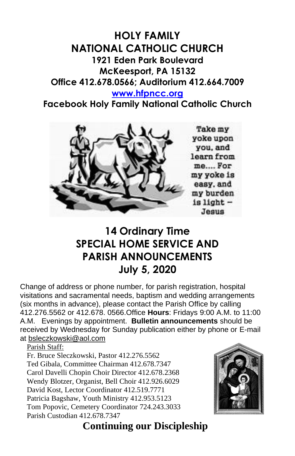# **HOLY FAMILY NATIONAL CATHOLIC CHURCH 1921 Eden Park Boulevard McKeesport, PA 15132 Office 412.678.0566; Auditorium 412.664.7009**

#### **[www.hfpncc.org](http://www.hfpncc.org/)**

**Facebook Holy Family National Catholic Church**



# **14 Ordinary Time SPECIAL HOME SERVICE AND PARISH ANNOUNCEMENTS July 5, 2020**

Change of address or phone number, for parish registration, hospital visitations and sacramental needs, baptism and wedding arrangements (six months in advance), please contact the Parish Office by calling 412.276.5562 or 412.678. 0566.Office **Hours**: Fridays 9:00 A.M. to 11:00 A.M. Evenings by appointment. **Bulletin announcements** should be received by Wednesday for Sunday publication either by phone or E-mail at [bsleczkowski@aol.com](mailto:bsleczkowski@aol.com)

Parish Staff:

Fr. Bruce Sleczkowski, Pastor 412.276.5562 Ted Gibala, Committee Chairman 412.678.7347 Carol Davelli Chopin Choir Director 412.678.2368 Wendy Blotzer, Organist, Bell Choir 412.926.6029 David Kost, Lector Coordinator 412.519.7771 Patricia Bagshaw, Youth Ministry 412.953.5123 Tom Popovic, Cemetery Coordinator 724.243.3033 Parish Custodian 412.678.7347



## **Continuing our Discipleship**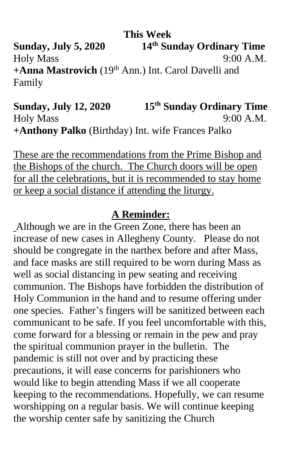**This Week Sunday, July 5, 2020 th Sunday Ordinary Time** Holy Mass 9:00 A.M. **+Anna Mastrovich** (19th Ann.) Int. Carol Davelli and Family

**Sunday, July 12, 2020 th Sunday Ordinary Time** Holy Mass 9:00 A.M. **+Anthony Palko** (Birthday) Int. wife Frances Palko

These are the recommendations from the Prime Bishop and the Bishops of the church. The Church doors will be open for all the celebrations, but it is recommended to stay home or keep a social distance if attending the liturgy.

#### **A Reminder:**

Although we are in the Green Zone, there has been an increase of new cases in Allegheny County. Please do not should be congregate in the narthex before and after Mass, and face masks are still required to be worn during Mass as well as social distancing in pew seating and receiving communion. The Bishops have forbidden the distribution of Holy Communion in the hand and to resume offering under one species. Father's fingers will be sanitized between each communicant to be safe. If you feel uncomfortable with this, come forward for a blessing or remain in the pew and pray the spiritual communion prayer in the bulletin. The pandemic is still not over and by practicing these precautions, it will ease concerns for parishioners who would like to begin attending Mass if we all cooperate keeping to the recommendations. Hopefully, we can resume worshipping on a regular basis. We will continue keeping the worship center safe by sanitizing the Church